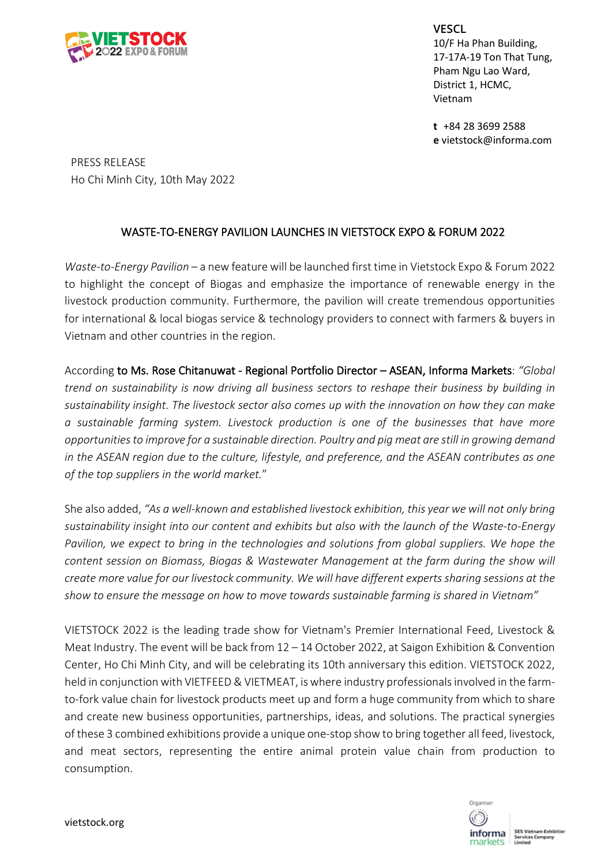

**VESCL** 10/F Ha Phan Building, 17-17A-19 Ton That Tung, Pham Ngu Lao Ward, District 1, HCMC, Vietnam

**t** +84 28 3699 2588 **e** vietstock@informa.com

PRESS RELEASE Ho Chi Minh City, 10th May 2022

## WASTE-TO-ENERGY PAVILION LAUNCHES IN VIETSTOCK EXPO & FORUM 2022

*Waste-to-Energy Pavilion* – a new feature will be launched first time in Vietstock Expo & Forum 2022 to highlight the concept of Biogas and emphasize the importance of renewable energy in the livestock production community. Furthermore, the pavilion will create tremendous opportunities for international & local biogas service & technology providers to connect with farmers & buyers in Vietnam and other countries in the region.

According to Ms. Rose Chitanuwat - Regional Portfolio Director – ASEAN, Informa Markets: *"Global trend on sustainability is now driving all business sectors to reshape their business by building in sustainability insight. The livestock sector also comes up with the innovation on how they can make a sustainable farming system. Livestock production is one of the businesses that have more opportunities to improve for a sustainable direction. Poultry and pig meat are still in growing demand in the ASEAN region due to the culture, lifestyle, and preference, and the ASEAN contributes as one of the top suppliers in the world market.*"

She also added, *"As a well-known and established livestock exhibition, this year we will not only bring sustainability insight into our content and exhibits but also with the launch of the Waste-to-Energy Pavilion, we expect to bring in the technologies and solutions from global suppliers. We hope the content session on Biomass, Biogas & Wastewater Management at the farm during the show will create more value for our livestock community. We will have different experts sharing sessions at the show to ensure the message on how to move towards sustainable farming is shared in Vietnam"*

VIETSTOCK 2022 is the leading trade show for Vietnam's Premier International Feed, Livestock & Meat Industry. The event will be back from 12 – 14 October 2022, at Saigon Exhibition & Convention Center, Ho Chi Minh City, and will be celebrating its 10th anniversary this edition. VIETSTOCK 2022, held in conjunction with VIETFEED & VIETMEAT, is where industry professionals involved in the farmto-fork value chain for livestock products meet up and form a huge community from which to share and create new business opportunities, partnerships, ideas, and solutions. The practical synergies of these 3 combined exhibitions provide a unique one-stop show to bring together all feed, livestock, and meat sectors, representing the entire animal protein value chain from production to consumption.